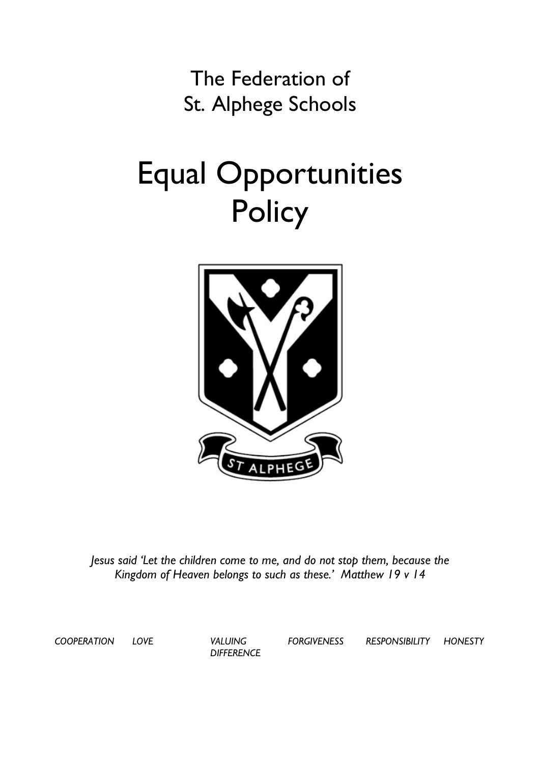The Federation of St. Alphege Schools

# Equal Opportunities **Policy**



*Jesus said 'Let the children come to me, and do not stop them, because the Kingdom of Heaven belongs to such as these.' Matthew 19 v 14*

*COOPERATION LOVE VALUING* 

*DIFFERENCE*

*FORGIVENESS RESPONSIBILITY HONESTY*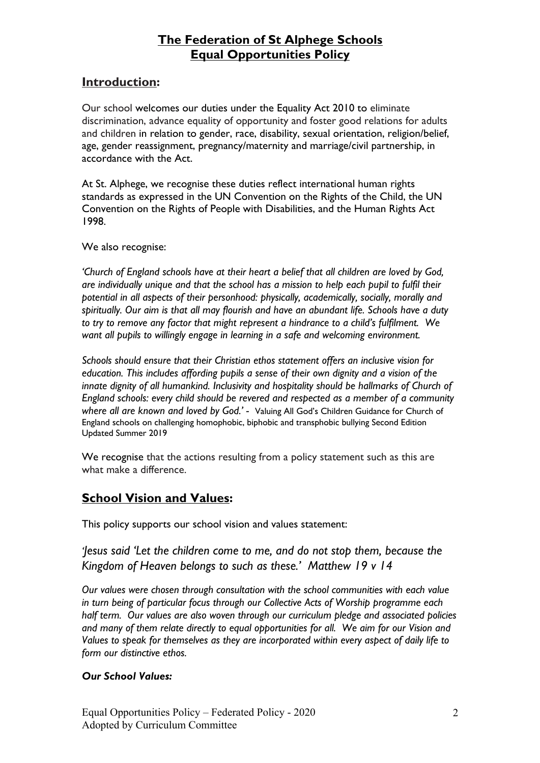#### **Introduction:**

Our school welcomes our duties under the Equality Act 2010 to eliminate discrimination, advance equality of opportunity and foster good relations for adults and children in relation to gender, race, disability, sexual orientation, religion/belief, age, gender reassignment, pregnancy/maternity and marriage/civil partnership, in accordance with the Act.

At St. Alphege, we recognise these duties reflect international human rights standards as expressed in the UN Convention on the Rights of the Child, the UN Convention on the Rights of People with Disabilities, and the Human Rights Act 1998.

We also recognise:

*'Church of England schools have at their heart a belief that all children are loved by God, are individually unique and that the school has a mission to help each pupil to fulfil their potential in all aspects of their personhood: physically, academically, socially, morally and spiritually. Our aim is that all may flourish and have an abundant life. Schools have a duty to try to remove any factor that might represent a hindrance to a child's fulfilment. We want all pupils to willingly engage in learning in a safe and welcoming environment.*

*Schools should ensure that their Christian ethos statement offers an inclusive vision for education. This includes affording pupils a sense of their own dignity and a vision of the innate dignity of all humankind. Inclusivity and hospitality should be hallmarks of Church of England schools: every child should be revered and respected as a member of a community where all are known and loved by God.' -* Valuing All God's Children Guidance for Church of England schools on challenging homophobic, biphobic and transphobic bullying Second Edition Updated Summer 2019

We recognise that the actions resulting from a policy statement such as this are what make a difference.

#### **School Vision and Values:**

This policy supports our school vision and values statement:

*'Jesus said 'Let the children come to me, and do not stop them, because the Kingdom of Heaven belongs to such as these.' Matthew 19 v 14*

*Our values were chosen through consultation with the school communities with each value in turn being of particular focus through our Collective Acts of Worship programme each half term. Our values are also woven through our curriculum pledge and associated policies and many of them relate directly to equal opportunities for all. We aim for our Vision and Values to speak for themselves as they are incorporated within every aspect of daily life to form our distinctive ethos.* 

#### *Our School Values:*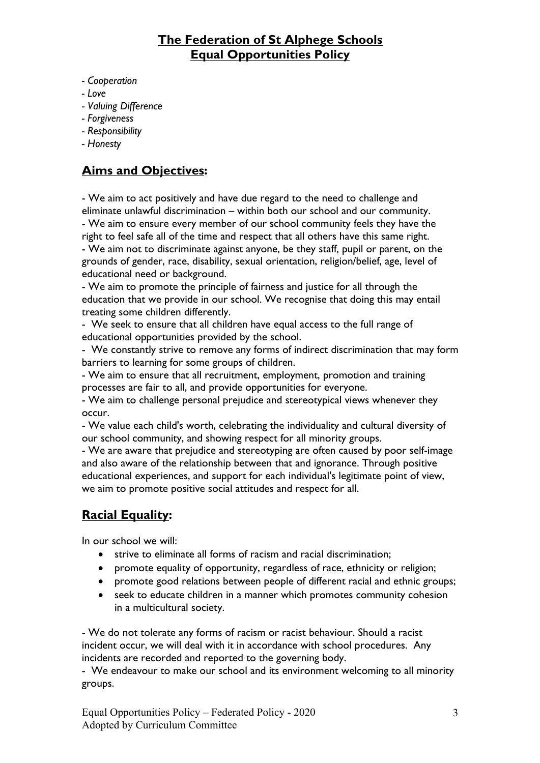- *- Cooperation*
- *- Love*
- *- Valuing Difference*
- *- Forgiveness*
- *- Responsibility*
- *- Honesty*

#### **Aims and Objectives:**

- We aim to act positively and have due regard to the need to challenge and eliminate unlawful discrimination – within both our school and our community. - We aim to ensure every member of our school community feels they have the right to feel safe all of the time and respect that all others have this same right. - We aim not to discriminate against anyone, be they staff, pupil or parent, on the grounds of gender, race, disability, sexual orientation, religion/belief, age, level of

educational need or background.

- We aim to promote the principle of fairness and justice for all through the education that we provide in our school. We recognise that doing this may entail treating some children differently.

- We seek to ensure that all children have equal access to the full range of educational opportunities provided by the school.

- We constantly strive to remove any forms of indirect discrimination that may form barriers to learning for some groups of children.

- We aim to ensure that all recruitment, employment, promotion and training processes are fair to all, and provide opportunities for everyone.

- We aim to challenge personal prejudice and stereotypical views whenever they occur.

- We value each child's worth, celebrating the individuality and cultural diversity of our school community, and showing respect for all minority groups.

- We are aware that prejudice and stereotyping are often caused by poor self-image and also aware of the relationship between that and ignorance. Through positive educational experiences, and support for each individual's legitimate point of view, we aim to promote positive social attitudes and respect for all.

# **Racial Equality:**

In our school we will:

- strive to eliminate all forms of racism and racial discrimination:
- promote equality of opportunity, regardless of race, ethnicity or religion;
- promote good relations between people of different racial and ethnic groups;
- seek to educate children in a manner which promotes community cohesion in a multicultural society.

- We do not tolerate any forms of racism or racist behaviour. Should a racist incident occur, we will deal with it in accordance with school procedures. Any incidents are recorded and reported to the governing body.

- We endeavour to make our school and its environment welcoming to all minority groups.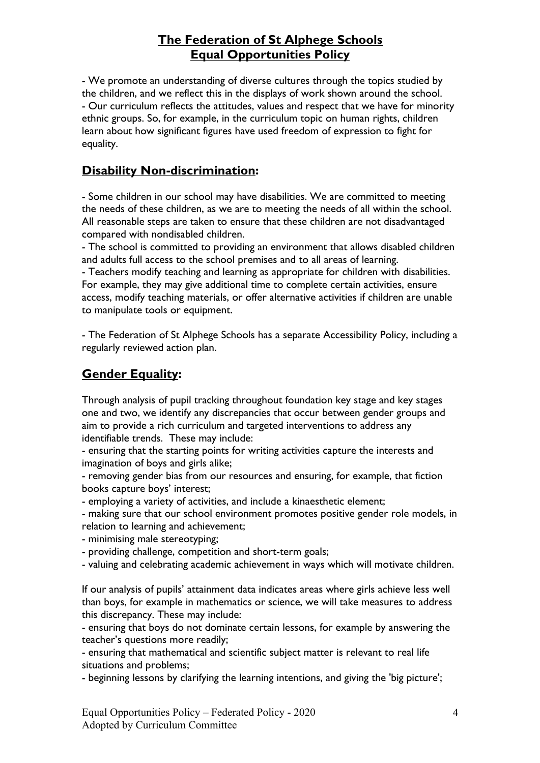- We promote an understanding of diverse cultures through the topics studied by the children, and we reflect this in the displays of work shown around the school. - Our curriculum reflects the attitudes, values and respect that we have for minority ethnic groups. So, for example, in the curriculum topic on human rights, children learn about how significant figures have used freedom of expression to fight for equality.

#### **Disability Non-discrimination:**

- Some children in our school may have disabilities. We are committed to meeting the needs of these children, as we are to meeting the needs of all within the school. All reasonable steps are taken to ensure that these children are not disadvantaged compared with nondisabled children.

- The school is committed to providing an environment that allows disabled children and adults full access to the school premises and to all areas of learning.

- Teachers modify teaching and learning as appropriate for children with disabilities. For example, they may give additional time to complete certain activities, ensure access, modify teaching materials, or offer alternative activities if children are unable to manipulate tools or equipment.

- The Federation of St Alphege Schools has a separate Accessibility Policy, including a regularly reviewed action plan.

#### **Gender Equality:**

Through analysis of pupil tracking throughout foundation key stage and key stages one and two, we identify any discrepancies that occur between gender groups and aim to provide a rich curriculum and targeted interventions to address any identifiable trends. These may include:

- ensuring that the starting points for writing activities capture the interests and imagination of boys and girls alike;

- removing gender bias from our resources and ensuring, for example, that fiction books capture boys' interest;

- employing a variety of activities, and include a kinaesthetic element;

- making sure that our school environment promotes positive gender role models, in relation to learning and achievement;

- minimising male stereotyping;

- providing challenge, competition and short-term goals;

- valuing and celebrating academic achievement in ways which will motivate children.

If our analysis of pupils' attainment data indicates areas where girls achieve less well than boys, for example in mathematics or science, we will take measures to address this discrepancy. These may include:

- ensuring that boys do not dominate certain lessons, for example by answering the teacher's questions more readily;

- ensuring that mathematical and scientific subject matter is relevant to real life situations and problems;

- beginning lessons by clarifying the learning intentions, and giving the 'big picture';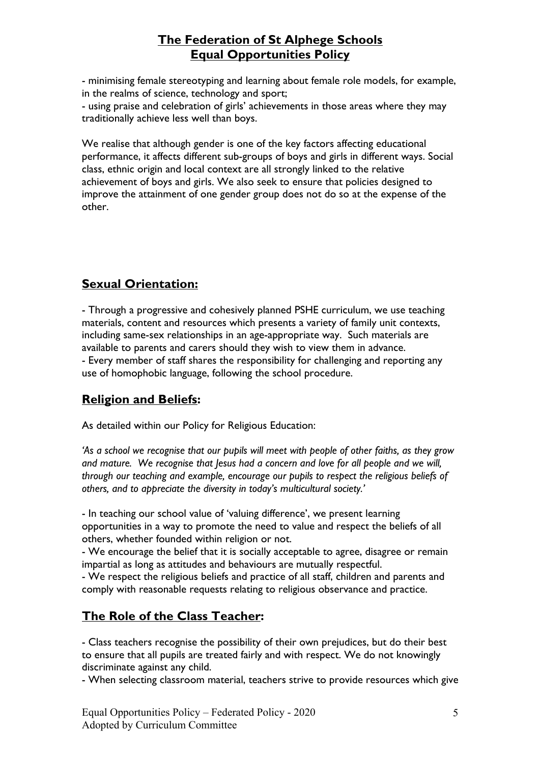- minimising female stereotyping and learning about female role models, for example, in the realms of science, technology and sport; - using praise and celebration of girls' achievements in those areas where they may traditionally achieve less well than boys.

We realise that although gender is one of the key factors affecting educational performance, it affects different sub-groups of boys and girls in different ways. Social class, ethnic origin and local context are all strongly linked to the relative achievement of boys and girls. We also seek to ensure that policies designed to improve the attainment of one gender group does not do so at the expense of the other.

# **Sexual Orientation:**

- Through a progressive and cohesively planned PSHE curriculum, we use teaching materials, content and resources which presents a variety of family unit contexts, including same-sex relationships in an age-appropriate way. Such materials are available to parents and carers should they wish to view them in advance. - Every member of staff shares the responsibility for challenging and reporting any use of homophobic language, following the school procedure.

# **Religion and Beliefs:**

As detailed within our Policy for Religious Education:

*'As a school we recognise that our pupils will meet with people of other faiths, as they grow and mature. We recognise that Jesus had a concern and love for all people and we will, through our teaching and example, encourage our pupils to respect the religious beliefs of others, and to appreciate the diversity in today's multicultural society.'*

- In teaching our school value of 'valuing difference', we present learning opportunities in a way to promote the need to value and respect the beliefs of all others, whether founded within religion or not.

- We encourage the belief that it is socially acceptable to agree, disagree or remain impartial as long as attitudes and behaviours are mutually respectful.

- We respect the religious beliefs and practice of all staff, children and parents and comply with reasonable requests relating to religious observance and practice.

# **The Role of the Class Teacher:**

- Class teachers recognise the possibility of their own prejudices, but do their best to ensure that all pupils are treated fairly and with respect. We do not knowingly discriminate against any child.

- When selecting classroom material, teachers strive to provide resources which give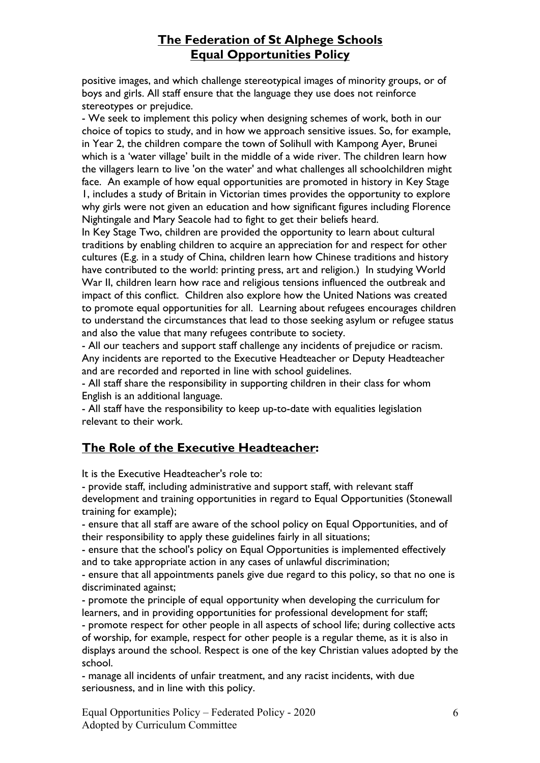positive images, and which challenge stereotypical images of minority groups, or of boys and girls. All staff ensure that the language they use does not reinforce stereotypes or prejudice.

- We seek to implement this policy when designing schemes of work, both in our choice of topics to study, and in how we approach sensitive issues. So, for example, in Year 2, the children compare the town of Solihull with Kampong Ayer, Brunei which is a 'water village' built in the middle of a wide river. The children learn how the villagers learn to live 'on the water' and what challenges all schoolchildren might face. An example of how equal opportunities are promoted in history in Key Stage 1, includes a study of Britain in Victorian times provides the opportunity to explore why girls were not given an education and how significant figures including Florence Nightingale and Mary Seacole had to fight to get their beliefs heard.

In Key Stage Two, children are provided the opportunity to learn about cultural traditions by enabling children to acquire an appreciation for and respect for other cultures (E.g. in a study of China, children learn how Chinese traditions and history have contributed to the world: printing press, art and religion.) In studying World War II, children learn how race and religious tensions influenced the outbreak and impact of this conflict. Children also explore how the United Nations was created to promote equal opportunities for all. Learning about refugees encourages children to understand the circumstances that lead to those seeking asylum or refugee status and also the value that many refugees contribute to society.

- All our teachers and support staff challenge any incidents of prejudice or racism. Any incidents are reported to the Executive Headteacher or Deputy Headteacher and are recorded and reported in line with school guidelines.

- All staff share the responsibility in supporting children in their class for whom English is an additional language.

- All staff have the responsibility to keep up-to-date with equalities legislation relevant to their work.

#### **The Role of the Executive Headteacher:**

It is the Executive Headteacher's role to:

- provide staff, including administrative and support staff, with relevant staff development and training opportunities in regard to Equal Opportunities (Stonewall training for example);

- ensure that all staff are aware of the school policy on Equal Opportunities, and of their responsibility to apply these guidelines fairly in all situations;

- ensure that the school's policy on Equal Opportunities is implemented effectively and to take appropriate action in any cases of unlawful discrimination;

- ensure that all appointments panels give due regard to this policy, so that no one is discriminated against;

- promote the principle of equal opportunity when developing the curriculum for learners, and in providing opportunities for professional development for staff;

- promote respect for other people in all aspects of school life; during collective acts of worship, for example, respect for other people is a regular theme, as it is also in displays around the school. Respect is one of the key Christian values adopted by the school.

- manage all incidents of unfair treatment, and any racist incidents, with due seriousness, and in line with this policy.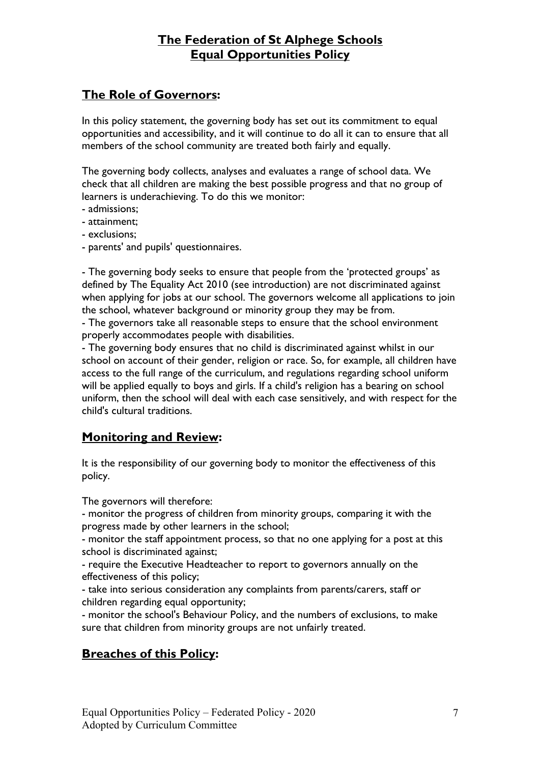# **The Role of Governors:**

In this policy statement, the governing body has set out its commitment to equal opportunities and accessibility, and it will continue to do all it can to ensure that all members of the school community are treated both fairly and equally.

The governing body collects, analyses and evaluates a range of school data. We check that all children are making the best possible progress and that no group of learners is underachieving. To do this we monitor:

- admissions;
- attainment;
- exclusions;
- parents' and pupils' questionnaires.

- The governing body seeks to ensure that people from the 'protected groups' as defined by The Equality Act 2010 (see introduction) are not discriminated against when applying for jobs at our school. The governors welcome all applications to join the school, whatever background or minority group they may be from.

- The governors take all reasonable steps to ensure that the school environment properly accommodates people with disabilities.

- The governing body ensures that no child is discriminated against whilst in our school on account of their gender, religion or race. So, for example, all children have access to the full range of the curriculum, and regulations regarding school uniform will be applied equally to boys and girls. If a child's religion has a bearing on school uniform, then the school will deal with each case sensitively, and with respect for the child's cultural traditions.

#### **Monitoring and Review:**

It is the responsibility of our governing body to monitor the effectiveness of this policy.

The governors will therefore:

- monitor the progress of children from minority groups, comparing it with the progress made by other learners in the school;

- monitor the staff appointment process, so that no one applying for a post at this school is discriminated against;

- require the Executive Headteacher to report to governors annually on the effectiveness of this policy;

- take into serious consideration any complaints from parents/carers, staff or children regarding equal opportunity;

- monitor the school's Behaviour Policy, and the numbers of exclusions, to make sure that children from minority groups are not unfairly treated.

# **Breaches of this Policy:**